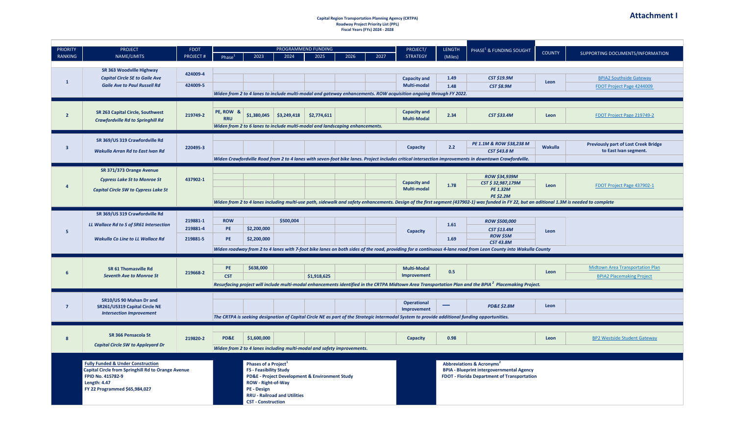#### **Capital Region Transportation Planning Agency (CRTPA) Roadway Project Priority List (PPL) Fiscal Years (FYs) 2024 - 2028**

| <b>PRIORITY</b>         | <b>PROJECT</b>                                                          | <b>FDOT</b>     |                    |                                                                              |                                                | <b>PROGRAMMEND FUNDING</b> |      |      | PROJECT/                                                                                                          | <b>LENGTH</b> | PHASE <sup>1</sup> & FUNDING SOUGHT                                                                                                                                                                             | <b>COUNTY</b>  | SUPPORTING DOCUMENTS/INFORMATION            |
|-------------------------|-------------------------------------------------------------------------|-----------------|--------------------|------------------------------------------------------------------------------|------------------------------------------------|----------------------------|------|------|-------------------------------------------------------------------------------------------------------------------|---------------|-----------------------------------------------------------------------------------------------------------------------------------------------------------------------------------------------------------------|----------------|---------------------------------------------|
| <b>RANKING</b>          | NAME/LIMITS                                                             | <b>PROJECT#</b> | Phase <sup>1</sup> | 2023                                                                         | 2024                                           | 2025                       | 2026 | 2027 | <b>STRATEGY</b>                                                                                                   | (Miles)       |                                                                                                                                                                                                                 |                |                                             |
|                         | SR 363 Woodville Highway                                                |                 |                    |                                                                              |                                                |                            |      |      |                                                                                                                   |               |                                                                                                                                                                                                                 |                |                                             |
|                         | <b>Capital Circle SE to Gaile Ave</b>                                   | 424009-4        |                    |                                                                              |                                                |                            |      |      | <b>Capacity and</b>                                                                                               | 1.49          | <b>CST \$19.9M</b>                                                                                                                                                                                              |                | <b>BPIA2 Southside Gateway</b>              |
| $\mathbf{1}$            | <b>Gaile Ave to Paul Russell Rd</b>                                     | 424009-5        |                    |                                                                              |                                                |                            |      |      | Multi-modal                                                                                                       | 1.48          | <b>CST \$8.9M</b>                                                                                                                                                                                               | Leon           | FDOT Project Page 4244009                   |
|                         |                                                                         |                 |                    |                                                                              |                                                |                            |      |      | Widen from 2 to 4 lanes to include multi-modal and gateway enhancements. ROW acquisition ongoing through FY 2022. |               |                                                                                                                                                                                                                 |                |                                             |
|                         |                                                                         |                 |                    |                                                                              |                                                |                            |      |      |                                                                                                                   |               |                                                                                                                                                                                                                 |                |                                             |
|                         |                                                                         |                 |                    |                                                                              |                                                |                            |      |      |                                                                                                                   |               |                                                                                                                                                                                                                 |                |                                             |
| $\overline{2}$          | SR 263 Capital Circle, Southwest                                        | 219749-2        | PE, ROW &          |                                                                              | $$1,380,045$ $$3,249,418$                      | \$2,774,611                |      |      | <b>Capacity and</b>                                                                                               | 2.34          | <b>CST \$33.4M</b>                                                                                                                                                                                              | Leon           | FDOT Project Page 219749-2                  |
|                         | <b>Crawfordville Rd to Springhill Rd</b>                                |                 | <b>RRU</b>         |                                                                              |                                                |                            |      |      | <b>Multi-Modal</b>                                                                                                |               |                                                                                                                                                                                                                 |                |                                             |
|                         |                                                                         |                 |                    | Widen from 2 to 6 lanes to include multi-modal and landscaping enhancements. |                                                |                            |      |      |                                                                                                                   |               |                                                                                                                                                                                                                 |                |                                             |
|                         | SR 369/US 319 Crawfordville Rd                                          |                 |                    |                                                                              |                                                |                            |      |      |                                                                                                                   |               |                                                                                                                                                                                                                 |                |                                             |
| $\overline{\mathbf{3}}$ |                                                                         | 220495-3        |                    |                                                                              |                                                |                            |      |      | Capacity                                                                                                          | 2.2           | PE 1.1M & ROW \$38,238 M                                                                                                                                                                                        | <b>Wakulla</b> | <b>Previously part of Lost Creek Bridge</b> |
|                         | <b>Wakulla Arran Rd to East Ivan Rd</b>                                 |                 |                    |                                                                              |                                                |                            |      |      |                                                                                                                   |               | <b>CST \$43.8 M</b>                                                                                                                                                                                             |                | to East Ivan segment.                       |
|                         |                                                                         |                 |                    |                                                                              |                                                |                            |      |      |                                                                                                                   |               | Widen Crawfordville Road from 2 to 4 lanes with seven-foot bike lanes. Project includes critical intersection improvements in downtown Crawfordville.                                                           |                |                                             |
|                         | SR 371/373 Orange Avenue                                                |                 |                    |                                                                              |                                                |                            |      |      |                                                                                                                   |               |                                                                                                                                                                                                                 |                |                                             |
|                         | <b>Cypress Lake St to Monroe St</b>                                     | 437902-1        |                    |                                                                              |                                                |                            |      |      |                                                                                                                   |               | <b>ROW \$34,939M</b>                                                                                                                                                                                            |                |                                             |
| $\overline{a}$          |                                                                         |                 |                    |                                                                              |                                                |                            |      |      | <b>Capacity and</b>                                                                                               | 1.78          | CST \$32,987,179M                                                                                                                                                                                               | Leon           | FDOT Project Page 437902-1                  |
|                         | <b>Capital Circle SW to Cypress Lake St</b>                             |                 |                    |                                                                              |                                                |                            |      |      | <b>Multi-modal</b>                                                                                                |               | <b>PE 1.32M</b>                                                                                                                                                                                                 |                |                                             |
|                         |                                                                         |                 |                    |                                                                              |                                                |                            |      |      |                                                                                                                   |               | <b>PE \$2.2M</b><br>Widen from 2 to 4 lanes including multi-use path, sidewalk and safety enhancements. Design of the first segment (437902-1) was funded in FY 22, but an aditional 1.3M is needed to complete |                |                                             |
|                         |                                                                         |                 |                    |                                                                              |                                                |                            |      |      |                                                                                                                   |               |                                                                                                                                                                                                                 |                |                                             |
|                         | SR 369/US 319 Crawfordville Rd                                          |                 |                    |                                                                              |                                                |                            |      |      |                                                                                                                   |               |                                                                                                                                                                                                                 |                |                                             |
|                         | LL Wallace Rd to S of SR61 Intersection                                 | 219881-1        | <b>ROW</b>         |                                                                              | \$500,004                                      |                            |      |      |                                                                                                                   | 1.61          | <b>ROW \$500,000</b>                                                                                                                                                                                            |                |                                             |
| 5                       |                                                                         | 219881-4        | <b>PE</b>          | \$2,200,000                                                                  |                                                |                            |      |      | Capacity                                                                                                          |               | <b>CST \$13.4M</b>                                                                                                                                                                                              | Leon           |                                             |
|                         | <b>Wakulla Co Line to LL Wallace Rd</b>                                 | 219881-5        | <b>PE</b>          | \$2,200,000                                                                  |                                                |                            |      |      |                                                                                                                   | 1.69          | <b>ROW \$5M</b><br><b>CST 43.8M</b>                                                                                                                                                                             |                |                                             |
|                         |                                                                         |                 |                    |                                                                              |                                                |                            |      |      |                                                                                                                   |               | Widen roadway from 2 to 4 lanes with 7-foot bike lanes on both sides of the road, providing for a continuous 4-lane road from Leon County into Wakulla County                                                   |                |                                             |
|                         |                                                                         |                 |                    |                                                                              |                                                |                            |      |      |                                                                                                                   |               |                                                                                                                                                                                                                 |                |                                             |
|                         |                                                                         |                 |                    |                                                                              |                                                |                            |      |      |                                                                                                                   |               |                                                                                                                                                                                                                 |                |                                             |
| 6                       | SR 61 Thomasville Rd                                                    | 219668-2        | PE.                | \$638,000                                                                    |                                                |                            |      |      | <b>Multi-Modal</b>                                                                                                | 0.5           |                                                                                                                                                                                                                 | Leon           | <b>Midtown Area Transportation Plan</b>     |
|                         | <b>Seventh Ave to Monroe St</b>                                         |                 | <b>CST</b>         |                                                                              |                                                | \$1,918,625                |      |      | Improvement                                                                                                       |               |                                                                                                                                                                                                                 |                | <b>BPIA2 Placemaking Project</b>            |
|                         |                                                                         |                 |                    |                                                                              |                                                |                            |      |      |                                                                                                                   |               | Resurfacing project will include multi-modal enhancements identified in the CRTPA Midtown Area Transportation Plan and the BPIA <sup>2</sup> Placemaking Project.                                               |                |                                             |
|                         |                                                                         |                 |                    |                                                                              |                                                |                            |      |      |                                                                                                                   |               |                                                                                                                                                                                                                 |                |                                             |
| $\overline{7}$          | SR10/US 90 Mahan Dr and                                                 |                 |                    |                                                                              |                                                |                            |      |      | <b>Operational</b>                                                                                                |               | <b>PD&amp;E \$2.8M</b>                                                                                                                                                                                          | Leon           |                                             |
|                         | SR261/US319 Capital Circle NE<br><b>Intersection Improvement</b>        |                 |                    |                                                                              |                                                |                            |      |      | Improvement                                                                                                       |               |                                                                                                                                                                                                                 |                |                                             |
|                         |                                                                         |                 |                    |                                                                              |                                                |                            |      |      |                                                                                                                   |               | The CRTPA is seeking designation of Capital Circle NE as part of the Strategic Intermodal System to provide additional funding opportunities.                                                                   |                |                                             |
|                         |                                                                         |                 |                    |                                                                              |                                                |                            |      |      |                                                                                                                   |               |                                                                                                                                                                                                                 |                |                                             |
|                         | SR 366 Pensacola St                                                     |                 | PD&E               | \$1,600,000                                                                  |                                                |                            |      |      |                                                                                                                   | 0.98          |                                                                                                                                                                                                                 | Leon           | <b>BP2 Westside Student Gateway</b>         |
| $\boldsymbol{8}$        | <b>Capital Circle SW to Appleyard Dr</b>                                | 219820-2        |                    |                                                                              |                                                |                            |      |      | Capacity                                                                                                          |               |                                                                                                                                                                                                                 |                |                                             |
|                         |                                                                         |                 |                    | Widen from 2 to 4 lanes including multi-modal and safety improvements.       |                                                |                            |      |      |                                                                                                                   |               |                                                                                                                                                                                                                 |                |                                             |
|                         |                                                                         |                 |                    |                                                                              |                                                |                            |      |      |                                                                                                                   |               |                                                                                                                                                                                                                 |                |                                             |
|                         | <b>Fully Funded &amp; Under Construction</b>                            |                 |                    | Phases of a Project <sup>1</sup>                                             |                                                |                            |      |      |                                                                                                                   |               | <b>Abbreviations &amp; Acronyms</b>                                                                                                                                                                             |                |                                             |
|                         | Capital Circle from Springhill Rd to Orange Avenue<br>FPID No. 415782-9 |                 |                    | <b>FS - Feasibility Study</b>                                                | PD&E - Project Development & Environment Study |                            |      |      |                                                                                                                   |               | <b>BPIA - Blueprint intergovernmental Agency</b><br><b>FDOT - Florida Department of Transportation</b>                                                                                                          |                |                                             |
|                         | <b>Length: 4.47</b>                                                     |                 |                    | ROW - Right-of-Way                                                           |                                                |                            |      |      |                                                                                                                   |               |                                                                                                                                                                                                                 |                |                                             |
|                         | FY 22 Programmed \$65,984,027                                           |                 |                    | PE - Design                                                                  |                                                |                            |      |      |                                                                                                                   |               |                                                                                                                                                                                                                 |                |                                             |
|                         |                                                                         |                 |                    |                                                                              | <b>RRU - Railroad and Utilities</b>            |                            |      |      |                                                                                                                   |               |                                                                                                                                                                                                                 |                |                                             |
|                         |                                                                         |                 |                    | <b>CST - Construction</b>                                                    |                                                |                            |      |      |                                                                                                                   |               |                                                                                                                                                                                                                 |                |                                             |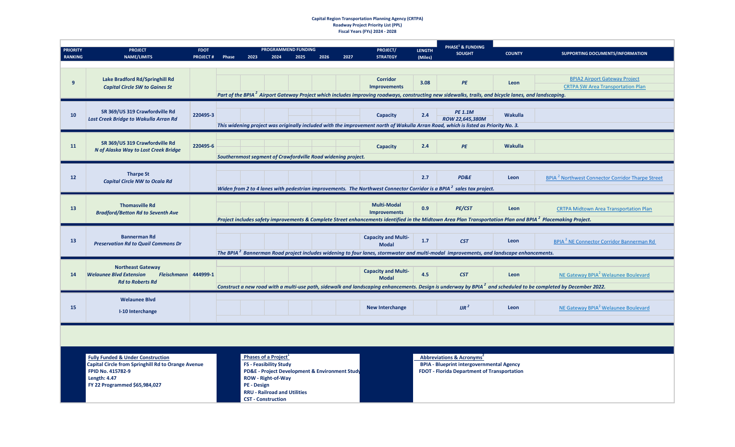#### **Capital Region Transportation Planning Agency (CRTPA) Roadway Project Priority List (PPL) Fiscal Years (FYs) 2024 - 2028**

| <b>PRIORITY</b><br><b>RANKING</b> | <b>PROJECT</b><br><b>NAME/LIMITS</b>                                                                                                                                                   | <b>FDOT</b><br><b>PROJECT#</b> | Phase | 2023               | PROGRAMMEND FUNDING<br>2024                                                                                                                                                                                          | 2025 | 2026 | 2027 | PROJECT/<br><b>STRATEGY</b>                | <b>LENGTH</b><br>(Miles) | PHASE <sup>1</sup> & FUNDING<br><b>SOUGHT</b>                                                                                                                           | <b>COUNTY</b>  | SUPPORTING DOCUMENTS/INFORMATION                                                                                                                                                                                              |
|-----------------------------------|----------------------------------------------------------------------------------------------------------------------------------------------------------------------------------------|--------------------------------|-------|--------------------|----------------------------------------------------------------------------------------------------------------------------------------------------------------------------------------------------------------------|------|------|------|--------------------------------------------|--------------------------|-------------------------------------------------------------------------------------------------------------------------------------------------------------------------|----------------|-------------------------------------------------------------------------------------------------------------------------------------------------------------------------------------------------------------------------------|
|                                   |                                                                                                                                                                                        |                                |       |                    |                                                                                                                                                                                                                      |      |      |      |                                            |                          |                                                                                                                                                                         |                |                                                                                                                                                                                                                               |
| 9                                 | Lake Bradford Rd/Springhill Rd<br><b>Capital Circle SW to Gaines St</b>                                                                                                                |                                |       |                    |                                                                                                                                                                                                                      |      |      |      | <b>Corridor</b><br><b>Improvements</b>     | 3.08                     | PE<br>Part of the BPIA <sup>2</sup> Airport Gateway Project which includes improving roadways, constructing new sidewalks, trails, and bicycle lanes, and landscaping.  | Leon           | <b>BPIA2 Airport Gateway Project</b><br><b>CRTPA SW Area Transportation Plan</b>                                                                                                                                              |
| 10                                | SR 369/US 319 Crawfordville Rd<br>Lost Creek Bridge to Wakulla Arran Rd                                                                                                                | 220495-3                       |       |                    |                                                                                                                                                                                                                      |      |      |      | Capacity                                   | 2.4                      | <b>PE 1.1M</b><br>ROW 22,645,380M<br>This widening project was originally included with the improvement north of Wakulla Arran Road, which is listed as Priority No. 3. | <b>Wakulla</b> |                                                                                                                                                                                                                               |
| 11                                | SR 369/US 319 Crawfordville Rd<br>N of Alaska Way to Lost Creek Bridge                                                                                                                 | 220495-6                       |       |                    | Southernmost segment of Crawfordville Road widening project.                                                                                                                                                         |      |      |      | Capacity                                   | 2.4                      | PE                                                                                                                                                                      | <b>Wakulla</b> |                                                                                                                                                                                                                               |
| 12                                | <b>Tharpe St</b><br><b>Capital Circle NW to Ocala Rd</b>                                                                                                                               |                                |       |                    |                                                                                                                                                                                                                      |      |      |      |                                            | 2.7                      | PD&E<br>Widen from 2 to 4 lanes with pedestrian improvements. The Northwest Connector Corridor is a BPIA <sup>2</sup> sales tax project.                                | Leon           | <b>BPIA<sup>2</sup> Northwest Connector Corridor Tharpe Street</b>                                                                                                                                                            |
| 13                                | <b>Thomasville Rd</b><br><b>Bradford/Betton Rd to Seventh Ave</b>                                                                                                                      |                                |       |                    |                                                                                                                                                                                                                      |      |      |      | <b>Multi-Modal</b><br><b>Improvements</b>  | 0.9                      | PE/CST                                                                                                                                                                  | Leon           | <b>CRTPA Midtown Area Transportation Plan</b><br>Project includes safety improvements & Complete Street enhancements identified in the Midtown Area Plan Transportation Plan and BPIA <sup>2</sup> Placemaking Project.       |
| 13                                | <b>Bannerman Rd</b><br><b>Preservation Rd to Quail Commons Dr</b>                                                                                                                      |                                |       |                    |                                                                                                                                                                                                                      |      |      |      | <b>Capacity and Multi-</b><br><b>Modal</b> | 1.7                      | CST<br>The BPIA <sup>2</sup> Bannerman Road project includes widening to four lanes, stormwater and multi-modal improvements, and landscape enhancements.               | Leon           | BPIA <sup>2</sup> NE Connector Corridor Bannerman Rd                                                                                                                                                                          |
|                                   |                                                                                                                                                                                        |                                |       |                    |                                                                                                                                                                                                                      |      |      |      |                                            |                          |                                                                                                                                                                         |                |                                                                                                                                                                                                                               |
| 14                                | <b>Northeast Gateway</b><br>Fleischmann 444999-1<br><b>Welaunee Blvd Extension</b><br><b>Rd to Roberts Rd</b>                                                                          |                                |       |                    |                                                                                                                                                                                                                      |      |      |      | <b>Capacity and Multi-</b><br><b>Modal</b> | 4.5                      | <b>CST</b>                                                                                                                                                              | Leon           | NE Gateway BPIA <sup>2</sup> Welaunee Boulevard<br>Construct a new road with a multi-use path, sidewalk and landscaping enhancements. Design is underway by BPIA <sup>2</sup> and scheduled to be completed by December 2022. |
| 15                                | <b>Welaunee Blvd</b><br>I-10 Interchange                                                                                                                                               |                                |       |                    |                                                                                                                                                                                                                      |      |      |      | <b>New Interchange</b>                     |                          | $JIR^2$                                                                                                                                                                 | Leon           | NE Gateway BPIA <sup>2</sup> Welaunee Boulevard                                                                                                                                                                               |
|                                   |                                                                                                                                                                                        |                                |       |                    |                                                                                                                                                                                                                      |      |      |      |                                            |                          |                                                                                                                                                                         |                |                                                                                                                                                                                                                               |
|                                   | <b>Fully Funded &amp; Under Construction</b><br><b>Capital Circle from Springhill Rd to Orange Avenue</b><br>FPID No. 415782-9<br><b>Length: 4.47</b><br>FY 22 Programmed \$65,984,027 |                                |       | <b>PE</b> - Design | Phases of a Project <sup>1</sup><br><b>FS - Feasibility Study</b><br>PD&E - Project Development & Environment Study<br><b>ROW - Right-of-Way</b><br><b>RRU - Railroad and Utilities</b><br><b>CST - Construction</b> |      |      |      |                                            |                          | <b>Abbreviations &amp; Acronyms<sup>2</sup></b><br><b>BPIA - Blueprint intergovernmental Agency</b><br><b>FDOT - Florida Department of Transportation</b>               |                |                                                                                                                                                                                                                               |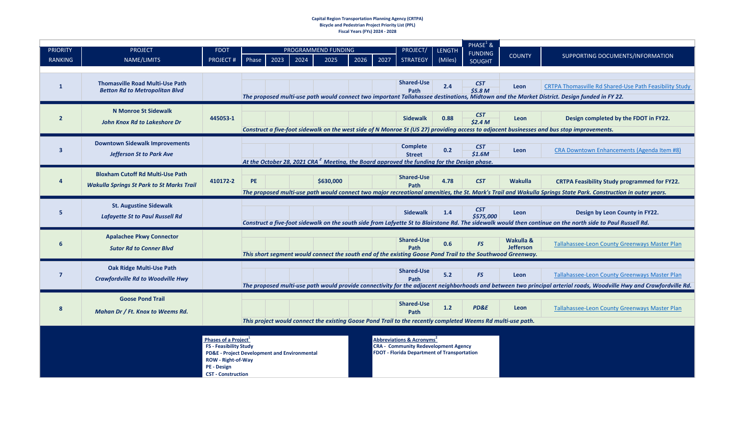#### **Capital Region Transportation Planning Agency (CRTPA) Bicycle and Pedestrian Project Priority List (PPL) Fiscal Years (FYs) 2024 - 2028**

| <b>PRIORITY</b>         | <b>PROJECT</b>                                   | <b>FDOT</b>                                                                   | PROGRAMMEND FUNDING<br>2023<br>2024<br>2025<br>2026<br>2027<br>Phase | <b>PROJECT/</b> | <b>LENGTH</b> | PHASE <sup>1</sup> &<br><b>FUNDING</b> | <b>COUNTY</b>                                                                                                           | SUPPORTING DOCUMENTS/INFORMATION |                                                                                                             |                  |                                                                                                                                                                     |
|-------------------------|--------------------------------------------------|-------------------------------------------------------------------------------|----------------------------------------------------------------------|-----------------|---------------|----------------------------------------|-------------------------------------------------------------------------------------------------------------------------|----------------------------------|-------------------------------------------------------------------------------------------------------------|------------------|---------------------------------------------------------------------------------------------------------------------------------------------------------------------|
| <b>RANKING</b>          | NAME/LIMITS                                      | <b>PROJECT#</b>                                                               |                                                                      |                 |               |                                        | <b>STRATEGY</b>                                                                                                         | (Miles)                          | SOUGHT                                                                                                      |                  |                                                                                                                                                                     |
|                         |                                                  |                                                                               |                                                                      |                 |               |                                        |                                                                                                                         |                                  |                                                                                                             |                  |                                                                                                                                                                     |
| $\mathbf{1}$            | <b>Thomasville Road Multi-Use Path</b>           |                                                                               |                                                                      |                 |               |                                        | <b>Shared-Use</b>                                                                                                       | 2.4                              | <b>CST</b>                                                                                                  | Leon             | CRTPA Thomasville Rd Shared-Use Path Feasibility Study                                                                                                              |
|                         | <b>Betton Rd to Metropolitan Blvd</b>            |                                                                               |                                                                      |                 |               |                                        | Path                                                                                                                    |                                  | \$5.8 <sub>M</sub>                                                                                          |                  | The proposed multi-use path would connect two important Tallahassee destinations, Midtown and the Market District. Design funded in FY 22.                          |
|                         |                                                  |                                                                               |                                                                      |                 |               |                                        |                                                                                                                         |                                  |                                                                                                             |                  |                                                                                                                                                                     |
| $\overline{2}$          | <b>N Monroe St Sidewalk</b>                      | 445053-1                                                                      |                                                                      |                 |               |                                        | <b>Sidewalk</b>                                                                                                         | 0.88                             | <b>CST</b>                                                                                                  | Leon             | Design completed by the FDOT in FY22.                                                                                                                               |
|                         | <b>John Knox Rd to Lakeshore Dr</b>              |                                                                               |                                                                      |                 |               |                                        |                                                                                                                         |                                  | \$2.4 <sub>M</sub>                                                                                          |                  | Construct a five-foot sidewalk on the west side of N Monroe St (US 27) providing access to adjacent businesses and bus stop improvements.                           |
|                         |                                                  |                                                                               |                                                                      |                 |               |                                        |                                                                                                                         |                                  |                                                                                                             |                  |                                                                                                                                                                     |
| $\overline{\mathbf{3}}$ | <b>Downtown Sidewalk Improvements</b>            |                                                                               |                                                                      |                 |               |                                        | <b>Complete</b>                                                                                                         | 0.2                              | <b>CST</b>                                                                                                  | Leon             | CRA Downtown Enhancements (Agenda Item #8)                                                                                                                          |
|                         | <b>Jefferson St to Park Ave</b>                  |                                                                               |                                                                      |                 |               |                                        | <b>Street</b><br>At the October 28, 2021 CRA <sup>2</sup> Meeting, the Board approved the funding for the Design phase. |                                  | \$1.6M                                                                                                      |                  |                                                                                                                                                                     |
|                         |                                                  |                                                                               |                                                                      |                 |               |                                        |                                                                                                                         |                                  |                                                                                                             |                  |                                                                                                                                                                     |
| 4                       | <b>Bloxham Cutoff Rd Multi-Use Path</b>          | 410172-2                                                                      | <b>PE</b>                                                            |                 | \$630,000     |                                        | <b>Shared-Use</b>                                                                                                       | 4.78                             | <b>CST</b>                                                                                                  | <b>Wakulla</b>   | <b>CRTPA Feasibility Study programmed for FY22.</b>                                                                                                                 |
|                         | <b>Wakulla Springs St Park to St Marks Trail</b> |                                                                               |                                                                      |                 |               |                                        | Path                                                                                                                    |                                  |                                                                                                             |                  | The proposed multi-use path would connect two major recreational amenities, the St. Mark's Trail and Wakulla Springs State Park. Construction in outer years.       |
|                         |                                                  |                                                                               |                                                                      |                 |               |                                        |                                                                                                                         |                                  |                                                                                                             |                  |                                                                                                                                                                     |
| 5                       | <b>St. Augustine Sidewalk</b>                    |                                                                               |                                                                      |                 |               |                                        | <b>Sidewalk</b>                                                                                                         | 1.4                              | <b>CST</b>                                                                                                  | Leon             | Design by Leon County in FY22.                                                                                                                                      |
|                         | <b>Lafayette St to Paul Russell Rd</b>           |                                                                               |                                                                      |                 |               |                                        |                                                                                                                         |                                  | \$575,000                                                                                                   |                  | Construct a five-foot sidewalk on the south side from Lafyette St to Blairstone Rd. The sidewalk would then continue on the north side to Paul Russell Rd.          |
|                         |                                                  |                                                                               |                                                                      |                 |               |                                        |                                                                                                                         |                                  |                                                                                                             |                  |                                                                                                                                                                     |
| 6                       | <b>Apalachee Pkwy Connector</b>                  |                                                                               |                                                                      |                 |               |                                        | <b>Shared-Use</b>                                                                                                       | 0.6                              | <b>FS</b>                                                                                                   | Wakulla &        | Tallahassee-Leon County Greenways Master Plan                                                                                                                       |
|                         | <b>Sutor Rd to Conner Blvd</b>                   |                                                                               |                                                                      |                 |               |                                        | Path                                                                                                                    |                                  | This short segment would connect the south end of the existing Goose Pond Trail to the Southwood Greenway.  | <b>Jefferson</b> |                                                                                                                                                                     |
|                         |                                                  |                                                                               |                                                                      |                 |               |                                        |                                                                                                                         |                                  |                                                                                                             |                  |                                                                                                                                                                     |
| $\overline{7}$          | <b>Oak Ridge Multi-Use Path</b>                  |                                                                               |                                                                      |                 |               |                                        | <b>Shared-Use</b>                                                                                                       | 5.2                              | <b>FS</b>                                                                                                   | Leon             | Tallahassee-Leon County Greenways Master Plan                                                                                                                       |
|                         | <b>Crawfordville Rd to Woodville Hwy</b>         |                                                                               |                                                                      |                 |               |                                        | Path                                                                                                                    |                                  |                                                                                                             |                  | The proposed multi-use path would provide connectivity for the adjacent neighborhoods and between two principal arterial roads, Woodville Hwy and Crawfordville Rd. |
|                         | <b>Goose Pond Trail</b>                          |                                                                               |                                                                      |                 |               |                                        |                                                                                                                         |                                  |                                                                                                             |                  |                                                                                                                                                                     |
| 8                       |                                                  |                                                                               |                                                                      |                 |               |                                        | <b>Shared-Use</b>                                                                                                       | 1.2                              | <b>PD&amp;E</b>                                                                                             | Leon             | Tallahassee-Leon County Greenways Master Plan                                                                                                                       |
|                         | Mahan Dr / Ft. Knox to Weems Rd.                 |                                                                               |                                                                      |                 |               |                                        | Path                                                                                                                    |                                  |                                                                                                             |                  |                                                                                                                                                                     |
|                         |                                                  |                                                                               |                                                                      |                 |               |                                        |                                                                                                                         |                                  | This project would connect the existing Goose Pond Trail to the recently completed Weems Rd multi-use path. |                  |                                                                                                                                                                     |
|                         |                                                  | Phases of a Project <sup>1</sup>                                              |                                                                      |                 |               |                                        | Abbreviations & Acronyms <sup>2</sup>                                                                                   |                                  |                                                                                                             |                  |                                                                                                                                                                     |
|                         |                                                  | <b>FS - Feasibility Study</b>                                                 |                                                                      |                 |               |                                        | <b>CRA - Community Redevelopment Agency</b>                                                                             |                                  |                                                                                                             |                  |                                                                                                                                                                     |
|                         |                                                  | <b>PD&amp;E</b> - Project Development and Environmental<br>ROW - Right-of-Way |                                                                      |                 |               |                                        | <b>FDOT - Florida Department of Transportation</b>                                                                      |                                  |                                                                                                             |                  |                                                                                                                                                                     |
|                         |                                                  | PE - Design                                                                   |                                                                      |                 |               |                                        |                                                                                                                         |                                  |                                                                                                             |                  |                                                                                                                                                                     |
|                         |                                                  | <b>CST - Construction</b>                                                     |                                                                      |                 |               |                                        |                                                                                                                         |                                  |                                                                                                             |                  |                                                                                                                                                                     |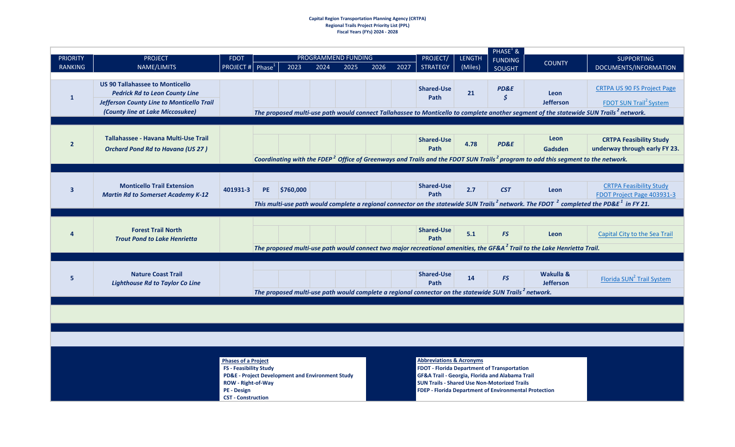#### **Capital Region Transportation Planning Agency (CRTPA) Regional Trails Project Priority List (PPL) Fiscal Years (FYs) 2024 - 2028**

|                                   |                                                                                                                                                                  |                                                                                                                                             |                    |                                                  |      |                             |      |      |                                                                                                                                                                                                                                                                                |                          | $PHASE^1$ &                     |                                                                                                                                                                               |                                                                                                                                                                                                                                   |
|-----------------------------------|------------------------------------------------------------------------------------------------------------------------------------------------------------------|---------------------------------------------------------------------------------------------------------------------------------------------|--------------------|--------------------------------------------------|------|-----------------------------|------|------|--------------------------------------------------------------------------------------------------------------------------------------------------------------------------------------------------------------------------------------------------------------------------------|--------------------------|---------------------------------|-------------------------------------------------------------------------------------------------------------------------------------------------------------------------------|-----------------------------------------------------------------------------------------------------------------------------------------------------------------------------------------------------------------------------------|
| <b>PRIORITY</b><br><b>RANKING</b> | <b>PROJECT</b><br>NAME/LIMITS                                                                                                                                    | <b>FDOT</b><br><b>PROJECT#</b>                                                                                                              | Phase <sup>1</sup> | 2023                                             | 2024 | PROGRAMMEND FUNDING<br>2025 | 2026 | 2027 | PROJECT/<br><b>STRATEGY</b>                                                                                                                                                                                                                                                    | <b>LENGTH</b><br>(Miles) | <b>FUNDING</b><br><b>SOUGHT</b> | <b>COUNTY</b>                                                                                                                                                                 | <b>SUPPORTING</b><br>DOCUMENTS/INFORMATION                                                                                                                                                                                        |
| $\mathbf{1}$                      | <b>US 90 Tallahassee to Monticello</b><br><b>Pedrick Rd to Leon County Line</b><br>Jefferson County Line to Monticello Trail<br>(County line at Lake Miccosukee) |                                                                                                                                             |                    |                                                  |      |                             |      |      | <b>Shared-Use</b><br>Path                                                                                                                                                                                                                                                      | 21                       | <b>PD&amp;E</b><br>Ś            | Leon<br><b>Jefferson</b><br>The proposed multi-use path would connect Tallahassee to Monticello to complete another segment of the statewide SUN Trails <sup>2</sup> network. | <b>CRTPA US 90 FS Project Page</b><br>FDOT SUN Trail <sup>2</sup> System                                                                                                                                                          |
| $\overline{2}$                    | Tallahassee - Havana Multi-Use Trail<br><b>Orchard Pond Rd to Havana (US 27)</b>                                                                                 |                                                                                                                                             |                    |                                                  |      |                             |      |      | <b>Shared-Use</b><br>Path                                                                                                                                                                                                                                                      | 4.78                     | PD&E                            | Leon<br>Gadsden<br>Coordinating with the FDEP <sup>2</sup> Office of Greenways and Trails and the FDOT SUN Trails <sup>2</sup> program to add this segment to the network.    | <b>CRTPA Feasibility Study</b><br>underway through early FY 23.                                                                                                                                                                   |
| 3                                 | <b>Monticello Trail Extension</b><br><b>Martin Rd to Somerset Academy K-12</b>                                                                                   | 401931-3                                                                                                                                    | PE.                | \$760,000                                        |      |                             |      |      | <b>Shared-Use</b><br>Path                                                                                                                                                                                                                                                      | 2.7                      | <b>CST</b>                      | Leon                                                                                                                                                                          | <b>CRTPA Feasibility Study</b><br>FDOT Project Page 403931-3<br>This multi-use path would complete a regional connector on the statewide SUN Trails <sup>2</sup> network. The FDOT $^2$ completed the PD&E <sup>1</sup> in FY 21. |
| $\Delta$                          | <b>Forest Trail North</b><br><b>Trout Pond to Lake Henrietta</b>                                                                                                 |                                                                                                                                             |                    |                                                  |      |                             |      |      | <b>Shared-Use</b><br>Path                                                                                                                                                                                                                                                      | 5.1                      | <b>FS</b>                       | Leon<br>The proposed multi-use path would connect two major recreational amenities, the GF&A <sup>2</sup> Trail to the Lake Henrietta Trail.                                  | Capital City to the Sea Trail                                                                                                                                                                                                     |
| 5                                 | <b>Nature Coast Trail</b><br><b>Lighthouse Rd to Taylor Co Line</b>                                                                                              |                                                                                                                                             |                    |                                                  |      |                             |      |      | <b>Shared-Use</b><br>Path<br>The proposed multi-use path would complete a regional connector on the statewide SUN Trails <sup>2</sup> network.                                                                                                                                 | 14                       | <b>FS</b>                       | Wakulla &<br><b>Jefferson</b>                                                                                                                                                 | Florida SUN <sup>2</sup> Trail System                                                                                                                                                                                             |
|                                   |                                                                                                                                                                  |                                                                                                                                             |                    |                                                  |      |                             |      |      |                                                                                                                                                                                                                                                                                |                          |                                 |                                                                                                                                                                               |                                                                                                                                                                                                                                   |
|                                   |                                                                                                                                                                  |                                                                                                                                             |                    |                                                  |      |                             |      |      |                                                                                                                                                                                                                                                                                |                          |                                 |                                                                                                                                                                               |                                                                                                                                                                                                                                   |
|                                   |                                                                                                                                                                  | <b>Phases of a Project</b><br><b>FS - Feasibility Study</b><br><b>ROW - Right-of-Way</b><br><b>PE</b> - Design<br><b>CST - Construction</b> |                    | PD&E - Project Development and Environment Study |      |                             |      |      | <b>Abbreviations &amp; Acronyms</b><br><b>FDOT - Florida Department of Transportation</b><br><b>GF&amp;A Trail - Georgia, Florida and Alabama Trail</b><br><b>SUN Trails - Shared Use Non-Motorized Trails</b><br><b>FDEP - Florida Department of Environmental Protection</b> |                          |                                 |                                                                                                                                                                               |                                                                                                                                                                                                                                   |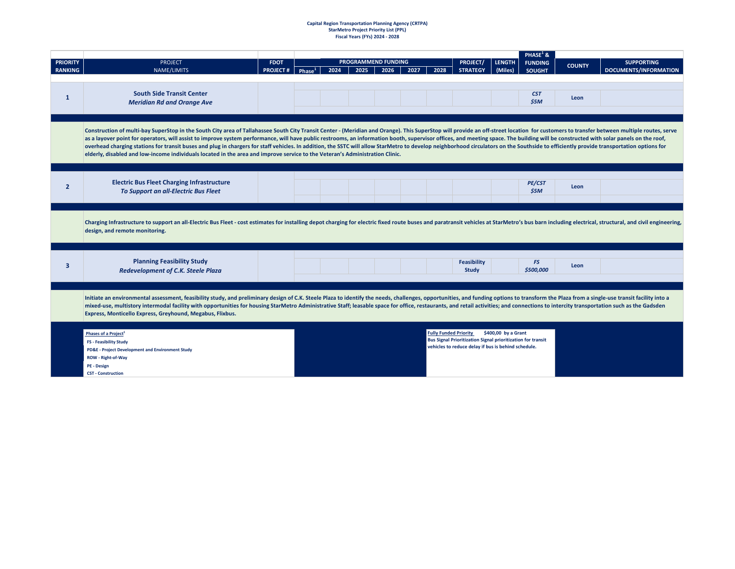# **Capital Region Transportation Planning Agency (CRTPA) StarMetro Project Priority List (PPL) Fiscal Years (FYs) 2024 - 2028**

|                 |                                                                                                                                                                                                                                |                 |           |      |                            |      |      |                              |                                                                                                                           |                     | <b>PHASE</b> <sup>1</sup> & |               |                              |
|-----------------|--------------------------------------------------------------------------------------------------------------------------------------------------------------------------------------------------------------------------------|-----------------|-----------|------|----------------------------|------|------|------------------------------|---------------------------------------------------------------------------------------------------------------------------|---------------------|-----------------------------|---------------|------------------------------|
| <b>PRIORITY</b> | <b>PROJECT</b>                                                                                                                                                                                                                 | <b>FDOT</b>     |           |      | <b>PROGRAMMEND FUNDING</b> |      |      |                              | <b>PROJECT/</b>                                                                                                           | <b>LENGTH</b>       | <b>FUNDING</b>              | <b>COUNTY</b> | <b>SUPPORTING</b>            |
| <b>RANKING</b>  | NAME/LIMITS                                                                                                                                                                                                                    | <b>PROJECT#</b> | Phase $1$ | 2024 | 2025                       | 2026 | 2027 | 2028                         | <b>STRATEGY</b>                                                                                                           | (Miles)             | <b>SOUGHT</b>               |               | <b>DOCUMENTS/INFORMATION</b> |
|                 |                                                                                                                                                                                                                                |                 |           |      |                            |      |      |                              |                                                                                                                           |                     |                             |               |                              |
|                 | <b>South Side Transit Center</b>                                                                                                                                                                                               |                 |           |      |                            |      |      |                              |                                                                                                                           |                     | <b>CST</b>                  |               |                              |
| 1               | <b>Meridian Rd and Orange Ave</b>                                                                                                                                                                                              |                 |           |      |                            |      |      |                              |                                                                                                                           |                     | \$5M                        | Leon          |                              |
|                 |                                                                                                                                                                                                                                |                 |           |      |                            |      |      |                              |                                                                                                                           |                     |                             |               |                              |
|                 |                                                                                                                                                                                                                                |                 |           |      |                            |      |      |                              |                                                                                                                           |                     |                             |               |                              |
|                 | Construction of multi-bay SuperStop in the South City area of Tallahassee South City Transit Center - (Meridian and Orange). This SuperStop will provide an off-street location for customers to transfer between multiple rou |                 |           |      |                            |      |      |                              |                                                                                                                           |                     |                             |               |                              |
|                 | as a layover point for operators, will assist to improve system performance, will have public restrooms, an information booth, supervisor offices, and meeting space. The building will be constructed with solar panels on th |                 |           |      |                            |      |      |                              |                                                                                                                           |                     |                             |               |                              |
|                 | overhead charging stations for transit buses and plug in chargers for staff vehicles. In addition, the SSTC will allow StarMetro to develop neighborhood circulators on the Southside to efficiently provide transportation op |                 |           |      |                            |      |      |                              |                                                                                                                           |                     |                             |               |                              |
|                 | elderly, disabled and low-income individuals located in the area and improve service to the Veteran's Administration Clinic.                                                                                                   |                 |           |      |                            |      |      |                              |                                                                                                                           |                     |                             |               |                              |
|                 |                                                                                                                                                                                                                                |                 |           |      |                            |      |      |                              |                                                                                                                           |                     |                             |               |                              |
|                 |                                                                                                                                                                                                                                |                 |           |      |                            |      |      |                              |                                                                                                                           |                     |                             |               |                              |
| $\overline{2}$  | <b>Electric Bus Fleet Charging Infrastructure</b>                                                                                                                                                                              |                 |           |      |                            |      |      |                              |                                                                                                                           |                     | <b>PE/CST</b>               | Leon          |                              |
|                 | To Support an all-Electric Bus Fleet                                                                                                                                                                                           |                 |           |      |                            |      |      |                              |                                                                                                                           |                     | \$5M                        |               |                              |
|                 |                                                                                                                                                                                                                                |                 |           |      |                            |      |      |                              |                                                                                                                           |                     |                             |               |                              |
|                 |                                                                                                                                                                                                                                |                 |           |      |                            |      |      |                              |                                                                                                                           |                     |                             |               |                              |
|                 | Charging Infrastructure to support an all-Electric Bus Fleet - cost estimates for installing depot charging for electric fixed route buses and paratransit vehicles at StarMetro's bus barn including electrical, structural,  |                 |           |      |                            |      |      |                              |                                                                                                                           |                     |                             |               |                              |
|                 | design, and remote monitoring.                                                                                                                                                                                                 |                 |           |      |                            |      |      |                              |                                                                                                                           |                     |                             |               |                              |
|                 |                                                                                                                                                                                                                                |                 |           |      |                            |      |      |                              |                                                                                                                           |                     |                             |               |                              |
|                 |                                                                                                                                                                                                                                |                 |           |      |                            |      |      |                              |                                                                                                                           |                     |                             |               |                              |
|                 |                                                                                                                                                                                                                                |                 |           |      |                            |      |      |                              |                                                                                                                           |                     |                             |               |                              |
| 3               | <b>Planning Feasibility Study</b>                                                                                                                                                                                              |                 |           |      |                            |      |      |                              | <b>Feasibility</b>                                                                                                        |                     | FS                          | Leon          |                              |
|                 | Redevelopment of C.K. Steele Plaza                                                                                                                                                                                             |                 |           |      |                            |      |      |                              | Study                                                                                                                     |                     | \$500,000                   |               |                              |
|                 |                                                                                                                                                                                                                                |                 |           |      |                            |      |      |                              |                                                                                                                           |                     |                             |               |                              |
|                 |                                                                                                                                                                                                                                |                 |           |      |                            |      |      |                              |                                                                                                                           |                     |                             |               |                              |
|                 | Initiate an environmental assessment, feasibility study, and preliminary design of C.K. Steele Plaza to identify the needs, challenges, opportunities, and funding options to transform the Plaza from a single-use transit fa |                 |           |      |                            |      |      |                              |                                                                                                                           |                     |                             |               |                              |
|                 | mixed-use, multistory intermodal facility with opportunities for housing StarMetro Administrative Staff; leasable space for office, restaurants, and retail activities; and connections to intercity transportation such as th |                 |           |      |                            |      |      |                              |                                                                                                                           |                     |                             |               |                              |
|                 | Express, Monticello Express, Greyhound, Megabus, Flixbus.                                                                                                                                                                      |                 |           |      |                            |      |      |                              |                                                                                                                           |                     |                             |               |                              |
|                 |                                                                                                                                                                                                                                |                 |           |      |                            |      |      |                              |                                                                                                                           |                     |                             |               |                              |
|                 | Phases of a Project <sup>1</sup>                                                                                                                                                                                               |                 |           |      |                            |      |      | <b>Fully Funded Priority</b> |                                                                                                                           | \$400,00 by a Grant |                             |               |                              |
|                 | <b>FS - Feasibility Study</b>                                                                                                                                                                                                  |                 |           |      |                            |      |      |                              | <b>Bus Signal Prioritization Signal prioritization for transit</b><br>vehicles to reduce delay if bus is behind schedule. |                     |                             |               |                              |
|                 | PD&E - Project Development and Environment Study                                                                                                                                                                               |                 |           |      |                            |      |      |                              |                                                                                                                           |                     |                             |               |                              |
|                 | ROW - Right-of-Way                                                                                                                                                                                                             |                 |           |      |                            |      |      |                              |                                                                                                                           |                     |                             |               |                              |
|                 | <b>PE - Design</b>                                                                                                                                                                                                             |                 |           |      |                            |      |      |                              |                                                                                                                           |                     |                             |               |                              |
|                 | <b>CST - Construction</b>                                                                                                                                                                                                      |                 |           |      |                            |      |      |                              |                                                                                                                           |                     |                             |               |                              |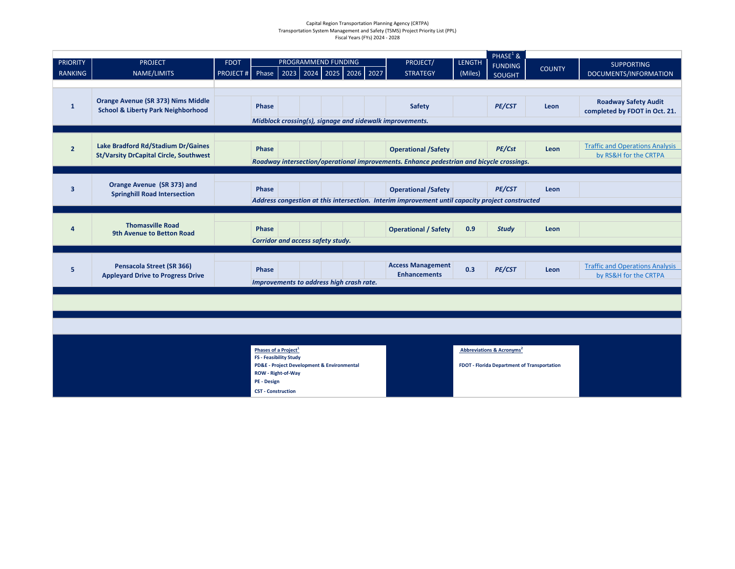#### Capital Region Transportation Planning Agency (CRTPA) Transportation System Management and Safety (TSMS) Project Priority List (PPL) Fiscal Years (FYs) 2024 - 2028

| <b>PRIORITY</b>         | <b>PROJECT</b>                                | <b>FDOT</b>     |                                                                   | PROGRAMMEND FUNDING |  |  | <b>PROJECT/</b>                                                                                                               | <b>LENGTH</b> | PHASE <sup>1</sup> &<br><b>FUNDING</b>          |               | <b>SUPPORTING</b>                      |
|-------------------------|-----------------------------------------------|-----------------|-------------------------------------------------------------------|---------------------|--|--|-------------------------------------------------------------------------------------------------------------------------------|---------------|-------------------------------------------------|---------------|----------------------------------------|
| <b>RANKING</b>          | NAME/LIMITS                                   | <b>PROJECT#</b> | Phase 2023 2024 2025 2026 2027                                    |                     |  |  | <b>STRATEGY</b>                                                                                                               | (Miles)       | <b>SOUGHT</b>                                   | <b>COUNTY</b> | DOCUMENTS/INFORMATION                  |
|                         |                                               |                 |                                                                   |                     |  |  |                                                                                                                               |               |                                                 |               |                                        |
| $\mathbf{1}$            | <b>Orange Avenue (SR 373) Nims Middle</b>     |                 | Phase                                                             |                     |  |  | Safety                                                                                                                        |               | PE/CST                                          | Leon          | <b>Roadway Safety Audit</b>            |
|                         | <b>School &amp; Liberty Park Neighborhood</b> |                 |                                                                   |                     |  |  | Midblock crossing(s), signage and sidewalk improvements.                                                                      |               |                                                 |               | completed by FDOT in Oct. 21.          |
|                         |                                               |                 |                                                                   |                     |  |  |                                                                                                                               |               |                                                 |               |                                        |
|                         | Lake Bradford Rd/Stadium Dr/Gaines            |                 |                                                                   |                     |  |  |                                                                                                                               |               |                                                 |               | <b>Traffic and Operations Analysis</b> |
| $\overline{2}$          | <b>St/Varsity DrCapital Circle, Southwest</b> |                 | <b>Phase</b>                                                      |                     |  |  | <b>Operational /Safety</b>                                                                                                    |               | PE/Cst                                          | Leon          | by RS&H for the CRTPA                  |
|                         |                                               |                 |                                                                   |                     |  |  | Roadway intersection/operational improvements. Enhance pedestrian and bicycle crossings.                                      |               |                                                 |               |                                        |
|                         | Orange Avenue (SR 373) and                    |                 |                                                                   |                     |  |  |                                                                                                                               |               |                                                 |               |                                        |
| $\overline{\mathbf{3}}$ | <b>Springhill Road Intersection</b>           |                 | <b>Phase</b>                                                      |                     |  |  | <b>Operational /Safety</b><br>Address congestion at this intersection. Interim improvement until capacity project constructed |               | <b>PE/CST</b>                                   | Leon          |                                        |
|                         |                                               |                 |                                                                   |                     |  |  |                                                                                                                               |               |                                                 |               |                                        |
|                         | <b>Thomasville Road</b>                       |                 |                                                                   |                     |  |  |                                                                                                                               |               |                                                 |               |                                        |
| Δ                       | 9th Avenue to Betton Road                     |                 | Phase                                                             |                     |  |  | <b>Operational / Safety</b>                                                                                                   | 0.9           | <b>Study</b>                                    | Leon          |                                        |
|                         |                                               |                 | Corridor and access safety study.                                 |                     |  |  |                                                                                                                               |               |                                                 |               |                                        |
|                         | <b>Pensacola Street (SR 366)</b>              |                 |                                                                   |                     |  |  | <b>Access Management</b>                                                                                                      |               |                                                 |               | <b>Traffic and Operations Analysis</b> |
| 5                       | <b>Appleyard Drive to Progress Drive</b>      |                 | Phase                                                             |                     |  |  | <b>Enhancements</b>                                                                                                           | 0.3           | PE/CST                                          | Leon          | by RS&H for the CRTPA                  |
|                         |                                               |                 | Improvements to address high crash rate.                          |                     |  |  |                                                                                                                               |               |                                                 |               |                                        |
|                         |                                               |                 |                                                                   |                     |  |  |                                                                                                                               |               |                                                 |               |                                        |
|                         |                                               |                 |                                                                   |                     |  |  |                                                                                                                               |               |                                                 |               |                                        |
|                         |                                               |                 |                                                                   |                     |  |  |                                                                                                                               |               |                                                 |               |                                        |
|                         |                                               |                 |                                                                   |                     |  |  |                                                                                                                               |               |                                                 |               |                                        |
|                         |                                               |                 | Phases of a Project <sup>1</sup><br><b>FS - Feasibility Study</b> |                     |  |  |                                                                                                                               |               | <b>Abbreviations &amp; Acronyms<sup>2</sup></b> |               |                                        |
|                         |                                               |                 | PD&E - Project Development & Environmental                        |                     |  |  |                                                                                                                               |               | FDOT - Florida Department of Transportation     |               |                                        |
|                         |                                               |                 | ROW - Right-of-Way<br><b>PE - Design</b>                          |                     |  |  |                                                                                                                               |               |                                                 |               |                                        |
|                         |                                               |                 | <b>CST - Construction</b>                                         |                     |  |  |                                                                                                                               |               |                                                 |               |                                        |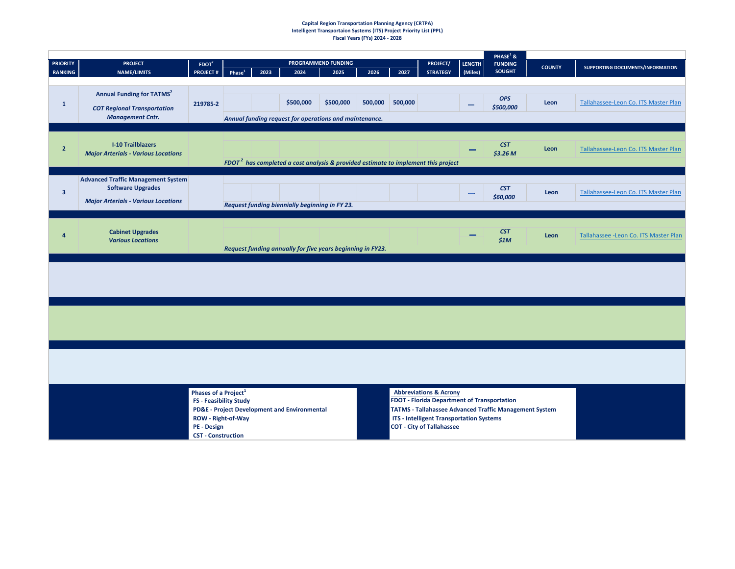#### **Capital Region Transportation Planning Agency (CRTPA) Intelligent Transportaion Systems (ITS) Project Priority List (PPL) Fiscal Years (FYs) 2024 - 2028**

|                                   |                                                                                                                     |                                                                                                                              |                    |      |                                                            |                             |         |         |                                                                                                                                                                                |                          | PHASE $1$ &                                                   |               |                                        |
|-----------------------------------|---------------------------------------------------------------------------------------------------------------------|------------------------------------------------------------------------------------------------------------------------------|--------------------|------|------------------------------------------------------------|-----------------------------|---------|---------|--------------------------------------------------------------------------------------------------------------------------------------------------------------------------------|--------------------------|---------------------------------------------------------------|---------------|----------------------------------------|
| <b>PRIORITY</b><br><b>RANKING</b> | <b>PROJECT</b><br><b>NAME/LIMITS</b>                                                                                | $F$ DOT <sup>2</sup><br><b>PROJECT#</b>                                                                                      | Phase <sup>1</sup> | 2023 | 2024                                                       | PROGRAMMEND FUNDING<br>2025 | 2026    | 2027    | <b>PROJECT/</b><br><b>STRATEGY</b>                                                                                                                                             | <b>LENGTH</b><br>(Miles) | <b>FUNDING</b><br><b>SOUGHT</b>                               | <b>COUNTY</b> | SUPPORTING DOCUMENTS/INFORMATION       |
|                                   |                                                                                                                     |                                                                                                                              |                    |      |                                                            |                             |         |         |                                                                                                                                                                                |                          |                                                               |               |                                        |
| $\mathbf{1}$                      | <b>Annual Funding for TATMS<sup>2</sup></b><br><b>COT Regional Transportation</b>                                   | 219785-2                                                                                                                     |                    |      | \$500,000                                                  | \$500,000                   | 500,000 | 500,000 |                                                                                                                                                                                | -                        | <b>OPS</b><br>\$500,000                                       | Leon          | Tallahassee-Leon Co. ITS Master Plan   |
|                                   | <b>Management Cntr.</b>                                                                                             |                                                                                                                              |                    |      | Annual funding request for operations and maintenance.     |                             |         |         |                                                                                                                                                                                |                          |                                                               |               |                                        |
| $\overline{2}$                    | <b>I-10 Trailblazers</b><br><b>Major Arterials - Various Locations</b>                                              |                                                                                                                              |                    |      |                                                            |                             |         |         | FDOT <sup>2</sup> has completed a cost analysis & provided estimate to implement this project                                                                                  |                          | <b>CST</b><br>\$3.26 M                                        | Leon          | Tallahassee-Leon Co. ITS Master Plan   |
| $\overline{\mathbf{3}}$           | <b>Advanced Traffic Management System</b><br><b>Software Upgrades</b><br><b>Major Arterials - Various Locations</b> |                                                                                                                              |                    |      | Request funding biennially beginning in FY 23.             |                             |         |         |                                                                                                                                                                                |                          | <b>CST</b><br>\$60,000                                        | Leon          | Tallahassee-Leon Co. ITS Master Plan   |
|                                   |                                                                                                                     |                                                                                                                              |                    |      |                                                            |                             |         |         |                                                                                                                                                                                |                          |                                                               |               |                                        |
| $\overline{a}$                    | <b>Cabinet Upgrades</b><br><b>Various Locations</b>                                                                 |                                                                                                                              |                    |      | Request funding annually for five years beginning in FY23. |                             |         |         |                                                                                                                                                                                |                          | <b>CST</b><br>\$1M                                            | Leon          | Tallahassee - Leon Co. ITS Master Plan |
|                                   |                                                                                                                     |                                                                                                                              |                    |      |                                                            |                             |         |         |                                                                                                                                                                                |                          |                                                               |               |                                        |
|                                   |                                                                                                                     |                                                                                                                              |                    |      |                                                            |                             |         |         |                                                                                                                                                                                |                          |                                                               |               |                                        |
|                                   |                                                                                                                     |                                                                                                                              |                    |      |                                                            |                             |         |         |                                                                                                                                                                                |                          |                                                               |               |                                        |
|                                   |                                                                                                                     | Phases of a Project <sup>1</sup><br>FS - Feasibility Study<br>ROW - Right-of-Way<br>PE - Design<br><b>CST - Construction</b> |                    |      | <b>PD&amp;E - Project Development and Environmental</b>    |                             |         |         | <b>Abbreviations &amp; Acrony</b><br><b>FDOT - Florida Department of Transportation</b><br><b>ITS - Intelligent Transportation Systems</b><br><b>COT - City of Tallahassee</b> |                          | <b>TATMS - Tallahassee Advanced Traffic Management System</b> |               |                                        |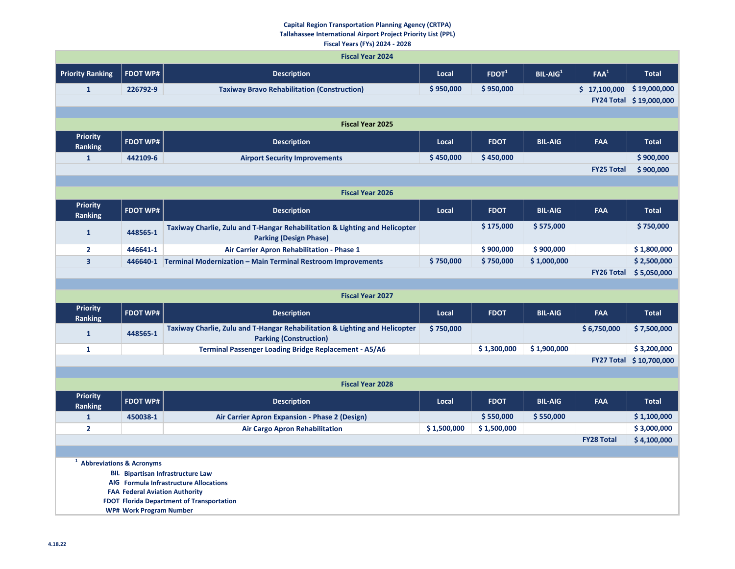#### **Capital Region Transportation Planning Agency (CRTPA) Tallahassee International Airport Project Priority List (PPL) Fiscal Years (FYs) 2024 - 2028**

|                                       |                                       | <b>Fiscal Year 2024</b>                                                                                      |             |             |                |                              |                         |
|---------------------------------------|---------------------------------------|--------------------------------------------------------------------------------------------------------------|-------------|-------------|----------------|------------------------------|-------------------------|
| <b>Priority Ranking</b>               | <b>FDOT WP#</b>                       | <b>Description</b>                                                                                           | Local       | $F$ DOT $1$ | $BIL-AIG1$     | FAA <sup>1</sup>             | <b>Total</b>            |
| $\mathbf{1}$                          | 226792-9                              | <b>Taxiway Bravo Rehabilitation (Construction)</b>                                                           | \$950,000   | \$950,000   |                | $$17,100,000$$ $$19,000,000$ |                         |
|                                       |                                       |                                                                                                              |             |             |                |                              | FY24 Total \$19,000,000 |
|                                       |                                       |                                                                                                              |             |             |                |                              |                         |
|                                       |                                       | <b>Fiscal Year 2025</b>                                                                                      |             |             |                |                              |                         |
| <b>Priority</b><br>Ranking            | <b>FDOT WP#</b>                       | <b>Description</b>                                                                                           | Local       | <b>FDOT</b> | <b>BIL-AIG</b> | FAA                          | <b>Total</b>            |
| $\mathbf{1}$                          | 442109-6                              | <b>Airport Security Improvements</b>                                                                         | \$450,000   | \$450,000   |                |                              | \$900,000               |
|                                       |                                       |                                                                                                              |             |             |                | <b>FY25 Total</b>            | \$900,000               |
|                                       |                                       | <b>Fiscal Year 2026</b>                                                                                      |             |             |                |                              |                         |
| <b>Priority</b><br><b>Ranking</b>     | <b>FDOT WP#</b>                       | <b>Description</b>                                                                                           | Local       | <b>FDOT</b> | <b>BIL-AIG</b> | <b>FAA</b>                   | <b>Total</b>            |
| $\mathbf{1}$                          | 448565-1                              | Taxiway Charlie, Zulu and T-Hangar Rehabilitation & Lighting and Helicopter<br><b>Parking (Design Phase)</b> |             | \$175,000   | \$575,000      |                              | \$750,000               |
| $\overline{2}$                        | 446641-1                              | Air Carrier Apron Rehabilitation - Phase 1                                                                   |             | \$900,000   | \$900,000      |                              | \$1,800,000             |
| $\overline{\mathbf{3}}$               |                                       | 446640-1 Terminal Modernization - Main Terminal Restroom Improvements                                        | \$750,000   | \$750,000   | \$1,000,000    |                              | \$2,500,000             |
|                                       |                                       |                                                                                                              |             |             |                | <b>FY26 Total</b>            | \$5,050,000             |
|                                       |                                       |                                                                                                              |             |             |                |                              |                         |
|                                       |                                       | <b>Fiscal Year 2027</b>                                                                                      |             |             |                |                              |                         |
| <b>Priority</b><br><b>Ranking</b>     | <b>FDOT WP#</b>                       | <b>Description</b>                                                                                           | Local       | <b>FDOT</b> | <b>BIL-AIG</b> | <b>FAA</b>                   | <b>Total</b>            |
| $\mathbf{1}$                          | 448565-1                              | Taxiway Charlie, Zulu and T-Hangar Rehabilitation & Lighting and Helicopter<br><b>Parking (Construction)</b> | \$750,000   |             |                | \$6,750,000                  | \$7,500,000             |
| $\mathbf{1}$                          |                                       | <b>Terminal Passenger Loading Bridge Replacement - A5/A6</b>                                                 |             | \$1,300,000 | \$1,900,000    |                              | \$3,200,000             |
|                                       |                                       |                                                                                                              |             |             |                |                              | FY27 Total \$10,700,000 |
|                                       |                                       |                                                                                                              |             |             |                |                              |                         |
|                                       |                                       | <b>Fiscal Year 2028</b>                                                                                      |             |             |                |                              |                         |
| <b>Priority</b><br><b>Ranking</b>     | <b>FDOT WP#</b>                       | <b>Description</b>                                                                                           | Local       | <b>FDOT</b> | <b>BIL-AIG</b> | <b>FAA</b>                   | <b>Total</b>            |
| $\mathbf{1}$                          | 450038-1                              | Air Carrier Apron Expansion - Phase 2 (Design)                                                               |             | \$550,000   | \$550,000      |                              | \$1,100,000             |
| $\overline{2}$                        |                                       | <b>Air Cargo Apron Rehabilitation</b>                                                                        | \$1,500,000 | \$1,500,000 |                |                              | \$3,000,000             |
|                                       |                                       |                                                                                                              |             |             |                | <b>FY28 Total</b>            | \$4,100,000             |
|                                       |                                       |                                                                                                              |             |             |                |                              |                         |
| <sup>1</sup> Abbreviations & Acronyms |                                       | <b>BIL Bipartisan Infrastructure Law</b>                                                                     |             |             |                |                              |                         |
|                                       |                                       | AIG Formula Infrastructure Allocations                                                                       |             |             |                |                              |                         |
|                                       | <b>FAA Federal Aviation Authority</b> |                                                                                                              |             |             |                |                              |                         |
|                                       | <b>WP# Work Program Number</b>        | FDOT Florida Department of Transportation                                                                    |             |             |                |                              |                         |
|                                       |                                       |                                                                                                              |             |             |                |                              |                         |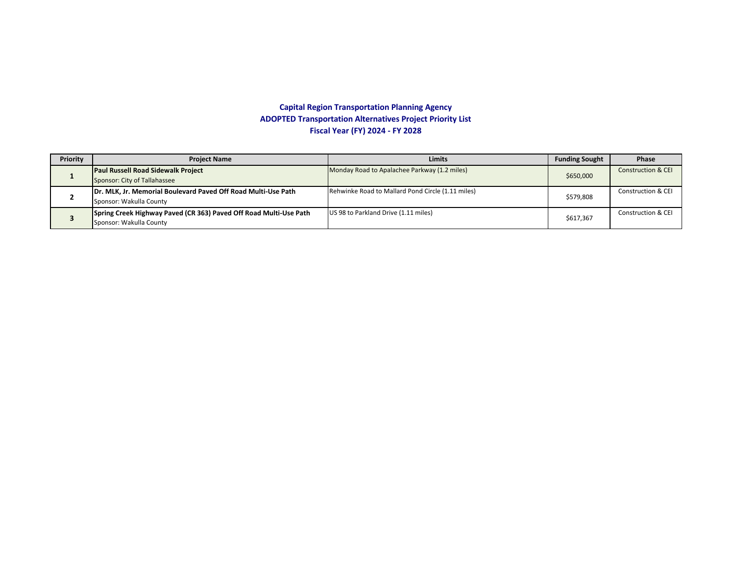#### **Capital Region Transportation Planning Agency ADOPTED Transportation Alternatives Project Priority List Fiscal Year (FY) 2024 - FY 2028**

| Priority | <b>Project Name</b>                                                                          | <b>Limits</b>                                     | <b>Funding Sought</b> | <b>Phase</b>                  |
|----------|----------------------------------------------------------------------------------------------|---------------------------------------------------|-----------------------|-------------------------------|
|          | <b>Paul Russell Road Sidewalk Project</b><br>Sponsor: City of Tallahassee                    | Monday Road to Apalachee Parkway (1.2 miles)      | \$650,000             | <b>Construction &amp; CEI</b> |
|          | Dr. MLK, Jr. Memorial Boulevard Paved Off Road Multi-Use Path<br>Sponsor: Wakulla County     | Rehwinke Road to Mallard Pond Circle (1.11 miles) | \$579,808             | <b>Construction &amp; CEI</b> |
|          | Spring Creek Highway Paved (CR 363) Paved Off Road Multi-Use Path<br>Sponsor: Wakulla County | US 98 to Parkland Drive (1.11 miles)              | \$617,367             | <b>Construction &amp; CEI</b> |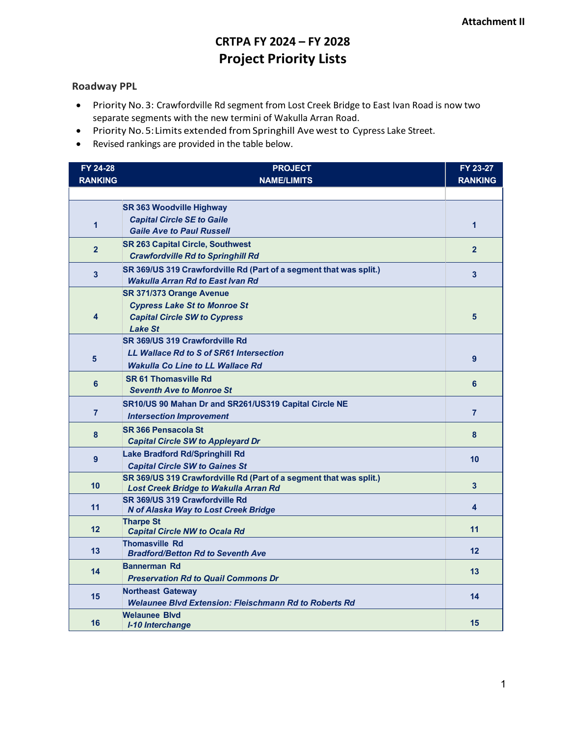## **CRTPA FY 2024 – FY 2028 Project Priority Lists**

#### **Roadway PPL**

- Priority No.3: Crawfordville Rd segment from Lost Creek Bridge to East Ivan Road is now two separate segments with the new termini of Wakulla Arran Road.
- Priority No.5:Limits extended fromSpringhill Ave west to Cypress Lake Street.
- Revised rankings are provided in the table below.

| FY 24-28       | <b>PROJECT</b>                                                     | FY 23-27                |
|----------------|--------------------------------------------------------------------|-------------------------|
| <b>RANKING</b> | <b>NAME/LIMITS</b>                                                 | <b>RANKING</b>          |
|                |                                                                    |                         |
|                | <b>SR 363 Woodville Highway</b>                                    |                         |
| $\overline{1}$ | <b>Capital Circle SE to Gaile</b>                                  | $\mathbf{1}$            |
|                | <b>Gaile Ave to Paul Russell</b>                                   |                         |
| $\overline{2}$ | <b>SR 263 Capital Circle, Southwest</b>                            | $\overline{2}$          |
|                | <b>Crawfordville Rd to Springhill Rd</b>                           |                         |
| 3              | SR 369/US 319 Crawfordville Rd (Part of a segment that was split.) | $\overline{\mathbf{3}}$ |
|                | <b>Wakulla Arran Rd to East Ivan Rd</b>                            |                         |
|                | <b>SR 371/373 Orange Avenue</b>                                    |                         |
|                | <b>Cypress Lake St to Monroe St</b>                                | 5                       |
| 4              | <b>Capital Circle SW to Cypress</b>                                |                         |
|                | <b>Lake St</b><br>SR 369/US 319 Crawfordville Rd                   |                         |
|                | <b>LL Wallace Rd to S of SR61 Intersection</b>                     |                         |
| 5              | <b>Wakulla Co Line to LL Wallace Rd</b>                            | 9                       |
|                | <b>SR 61 Thomasville Rd</b>                                        |                         |
| 6              | <b>Seventh Ave to Monroe St</b>                                    | 6                       |
|                | SR10/US 90 Mahan Dr and SR261/US319 Capital Circle NE              |                         |
| $\overline{7}$ | <b>Intersection Improvement</b>                                    | $\overline{7}$          |
|                | <b>SR 366 Pensacola St</b>                                         |                         |
| 8              | <b>Capital Circle SW to Appleyard Dr</b>                           | 8                       |
|                | <b>Lake Bradford Rd/Springhill Rd</b>                              |                         |
| 9              | <b>Capital Circle SW to Gaines St</b>                              | 10                      |
|                | SR 369/US 319 Crawfordville Rd (Part of a segment that was split.) |                         |
| 10             | <b>Lost Creek Bridge to Wakulla Arran Rd</b>                       | $\overline{\mathbf{3}}$ |
| 11             | SR 369/US 319 Crawfordville Rd                                     | 4                       |
|                | N of Alaska Way to Lost Creek Bridge                               |                         |
| 12             | <b>Tharpe St</b><br><b>Capital Circle NW to Ocala Rd</b>           | 11                      |
|                | <b>Thomasville Rd</b>                                              |                         |
| 13             | <b>Bradford/Betton Rd to Seventh Ave</b>                           | 12                      |
|                | <b>Bannerman Rd</b>                                                |                         |
| 14             | <b>Preservation Rd to Quail Commons Dr</b>                         | 13                      |
| 15             | <b>Northeast Gateway</b>                                           | 14                      |
|                | <b>Welaunee Blyd Extension: Fleischmann Rd to Roberts Rd</b>       |                         |
|                | <b>Welaunee Blvd</b>                                               |                         |
| 16             | <b>I-10 Interchange</b>                                            | 15                      |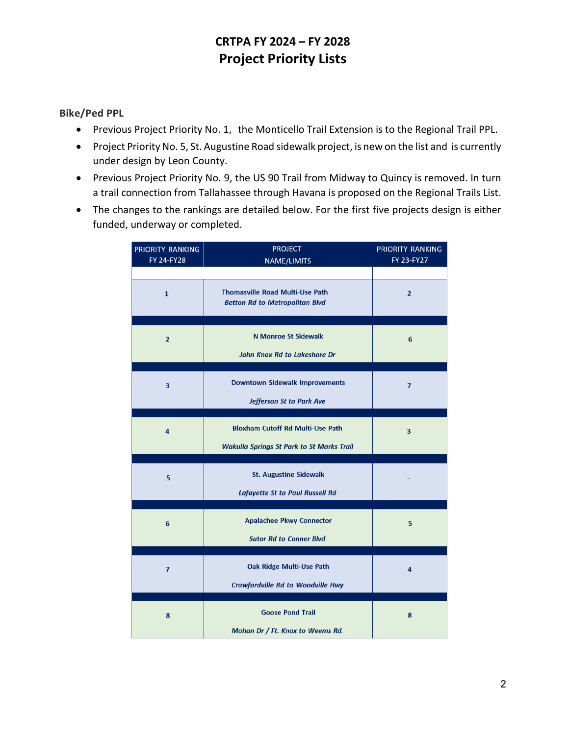## **CRTPA FY 2024 – FY 2028 Project Priority Lists**

## **Bike/Ped PPL**

- Previous Project Priority No. 1, the Monticello Trail Extension is to the Regional Trail PPL.
- Project Priority No. 5, St. Augustine Road sidewalk project, is new on the list and is currently under design by Leon County.
- Previous Project Priority No. 9, the US 90 Trail from Midway to Quincy is removed. In turn a trail connection from Tallahassee through Havana is proposed on the Regional Trails List.
- The changes to the rankings are detailed below. For the first five projects design is either funded, underway or completed.

| PRIORITY RANKING<br><b>FY 24-FY28</b> | <b>PROJECT</b><br><b>NAME/LIMITS</b>                                                        | PRIORITY RANKING<br><b>FY 23-FY27</b> |
|---------------------------------------|---------------------------------------------------------------------------------------------|---------------------------------------|
| $\mathbf{1}$                          | <b>Thomasville Road Multi-Use Path</b><br><b>Betton Rd to Metropolitan Blvd</b>             | $\overline{2}$                        |
| $\overline{2}$                        | <b>N Monroe St Sidewalk</b><br><b>John Knox Rd to Lakeshore Dr</b>                          | 6                                     |
| $\overline{\mathbf{3}}$               | <b>Downtown Sidewalk Improvements</b><br><b>Jefferson St to Park Ave</b>                    | $\overline{7}$                        |
| 4                                     | <b>Bloxham Cutoff Rd Multi-Use Path</b><br><b>Wakulla Springs St Park to St Marks Trail</b> | 3                                     |
| 5                                     | <b>St. Augustine Sidewalk</b><br><b>Lafayette St to Paul Russell Rd</b>                     |                                       |
| 6                                     | <b>Apalachee Pkwy Connector</b><br><b>Sutor Rd to Conner Blvd</b>                           | 5                                     |
| $\overline{7}$                        | <b>Oak Ridge Multi-Use Path</b><br><b>Crawfordville Rd to Woodville Hwy</b>                 | 4                                     |
| 8                                     | <b>Goose Pond Trail</b><br>Mahan Dr / Ft. Knox to Weems Rd.                                 | 8                                     |